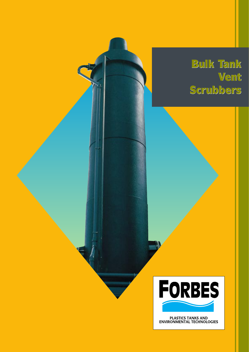# **Bulk Tank Bulk Tank Vent Scrubbers Scrubbers**



PLASTICS TANKS AND<br>ENVIRONMENTAL TECHNOLOGIES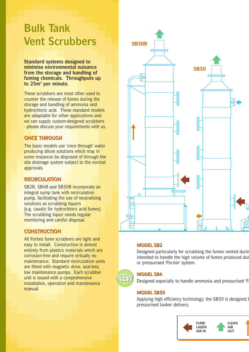# **Bulk Tank Vent Scrubbers** SB30R

**Standard systems designed to minimise environmental nuisance from the storage and handling of fuming chemicals. Throughputs up to 25m3 per minute.**

These scrubbers are most often used to counter the release of fumes during the storage and handling of ammonia and hydrochloric acid. These standard models are adaptable for other applications and we can supply custom-designed scrubbers - please discuss your requirements with us.

## **ONCE THROUGH ONCE THROUGH**

The basic models use 'once through' water producing dilute solutions which may in some instances be disposed of through the site drainage system subject to the normal approvals.

## **RECIRCULATION RECIRCULATION**

SB2R, SB4R and SB30R incorporate an integral sump tank with recirculation pump, facilitating the use of neutralising solutions as scrubbing liquors (e.g. caustic for hydrochloric acid fumes). The scrubbing liquor needs regular monitoring and careful disposal.

### **CONSTRUCTION CONSTRUCTION**

All Forbes fume scrubbers are light and easy to install. Construction is almost entirely from plastics materials which are corrosion-free and require virtually no maintenance. Standard recirculation units are fitted with magnetic drive, seal-less, low maintenance pumps. Each scrubber unit is issued with a comprehensive installation, operation and maintenance manual.



#### **MODEL SB2 MODEL SB2**

Designed particularly for scrubbing the fumes vented during intended to handle the high volume of fumes produced dur or pressurised 'Flo-bin' system.



#### **MODEL SB4 MODEL SB4**

Designed especially to handle ammonia and pressurised 'F

#### **MODEL SB30 MODEL SB30**

Applying high efficiency technology, the SB30 is designed t pressurised tanker delivery.

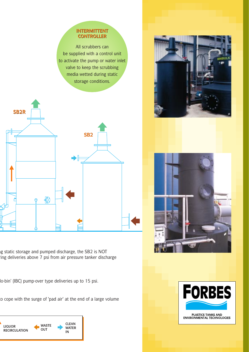## **INTERMITTENT INTERMITTENT CONTROLLER**

All scrubbers can be supplied with a control unit to activate the pump or water inlet valve to keep the scrubbing media wetted during static storage conditions.



ng static storage and pumped discharge, the SB2 is NOT ring deliveries above 7 psi from air pressure tanker discharge

lo-bin' (IBC) pump-over type deliveries up to 15 psi.

to cope with the surge of 'pad air' at the end of a large volume









PLASTICS TANKS AND<br>ENVIRONMENTAL TECHNOLOGIES